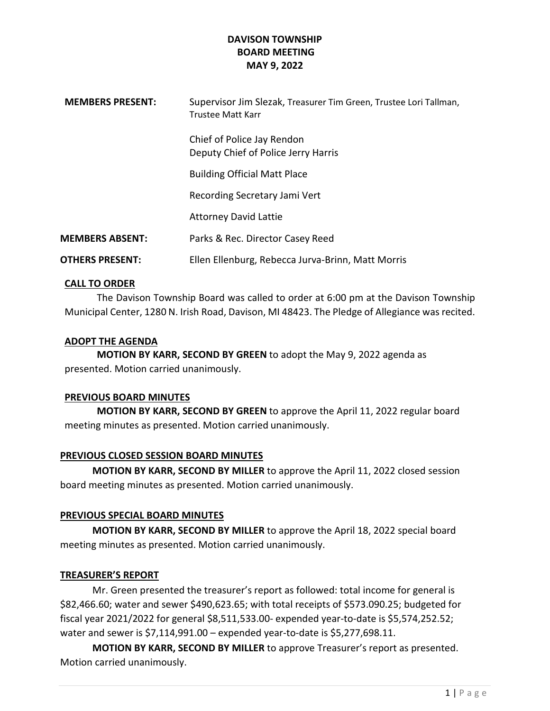| <b>MEMBERS PRESENT:</b> | Supervisor Jim Slezak, Treasurer Tim Green, Trustee Lori Tallman,<br>Trustee Matt Karr |
|-------------------------|----------------------------------------------------------------------------------------|
|                         | Chief of Police Jay Rendon<br>Deputy Chief of Police Jerry Harris                      |
|                         | <b>Building Official Matt Place</b>                                                    |
|                         | Recording Secretary Jami Vert                                                          |
|                         | <b>Attorney David Lattie</b>                                                           |
| <b>MEMBERS ABSENT:</b>  | Parks & Rec. Director Casey Reed                                                       |
| <b>OTHERS PRESENT:</b>  | Ellen Ellenburg, Rebecca Jurva-Brinn, Matt Morris                                      |
|                         |                                                                                        |

## CALL TO ORDER

The Davison Township Board was called to order at 6:00 pm at the Davison Township Municipal Center, 1280 N. Irish Road, Davison, MI 48423. The Pledge of Allegiance was recited.

## ADOPT THE AGENDA

MOTION BY KARR, SECOND BY GREEN to adopt the May 9, 2022 agenda as presented. Motion carried unanimously.

# PREVIOUS BOARD MINUTES

MOTION BY KARR, SECOND BY GREEN to approve the April 11, 2022 regular board meeting minutes as presented. Motion carried unanimously.

# PREVIOUS CLOSED SESSION BOARD MINUTES

MOTION BY KARR, SECOND BY MILLER to approve the April 11, 2022 closed session board meeting minutes as presented. Motion carried unanimously.

# PREVIOUS SPECIAL BOARD MINUTES

 MOTION BY KARR, SECOND BY MILLER to approve the April 18, 2022 special board meeting minutes as presented. Motion carried unanimously.

## TREASURER'S REPORT

 Mr. Green presented the treasurer's report as followed: total income for general is \$82,466.60; water and sewer \$490,623.65; with total receipts of \$573.090.25; budgeted for fiscal year 2021/2022 for general \$8,511,533.00- expended year-to-date is \$5,574,252.52; water and sewer is \$7,114,991.00 – expended year-to-date is \$5,277,698.11.

MOTION BY KARR, SECOND BY MILLER to approve Treasurer's report as presented. Motion carried unanimously.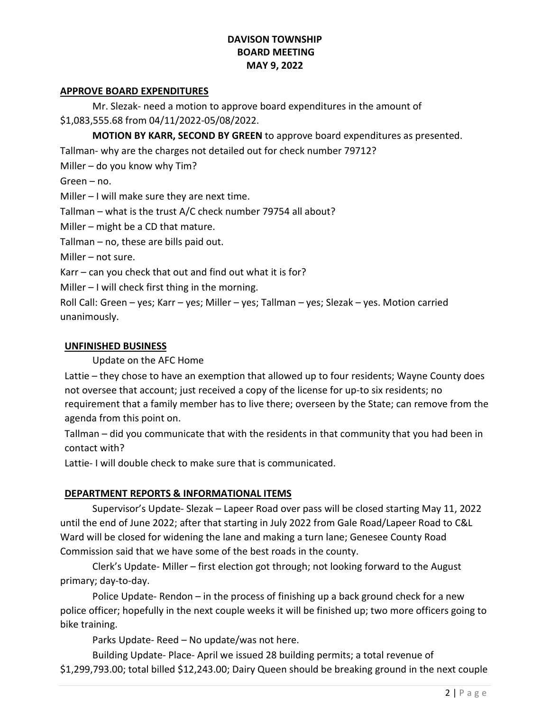#### APPROVE BOARD EXPENDITURES

 Mr. Slezak- need a motion to approve board expenditures in the amount of \$1,083,555.68 from 04/11/2022-05/08/2022.

MOTION BY KARR, SECOND BY GREEN to approve board expenditures as presented.

Tallman- why are the charges not detailed out for check number 79712?

Miller – do you know why Tim?

Green – no.

Miller – I will make sure they are next time.

Tallman – what is the trust A/C check number 79754 all about?

Miller – might be a CD that mature.

Tallman – no, these are bills paid out.

Miller – not sure.

Karr – can you check that out and find out what it is for?

Miller – I will check first thing in the morning.

Roll Call: Green – yes; Karr – yes; Miller – yes; Tallman – yes; Slezak – yes. Motion carried unanimously.

## UNFINISHED BUSINESS

Update on the AFC Home

Lattie – they chose to have an exemption that allowed up to four residents; Wayne County does not oversee that account; just received a copy of the license for up-to six residents; no requirement that a family member has to live there; overseen by the State; can remove from the agenda from this point on.

Tallman – did you communicate that with the residents in that community that you had been in contact with?

Lattie- I will double check to make sure that is communicated.

# DEPARTMENT REPORTS & INFORMATIONAL ITEMS

 Supervisor's Update- Slezak – Lapeer Road over pass will be closed starting May 11, 2022 until the end of June 2022; after that starting in July 2022 from Gale Road/Lapeer Road to C&L Ward will be closed for widening the lane and making a turn lane; Genesee County Road Commission said that we have some of the best roads in the county.

 Clerk's Update- Miller – first election got through; not looking forward to the August primary; day-to-day.

 Police Update- Rendon – in the process of finishing up a back ground check for a new police officer; hopefully in the next couple weeks it will be finished up; two more officers going to bike training.

Parks Update- Reed – No update/was not here.

 Building Update- Place- April we issued 28 building permits; a total revenue of \$1,299,793.00; total billed \$12,243.00; Dairy Queen should be breaking ground in the next couple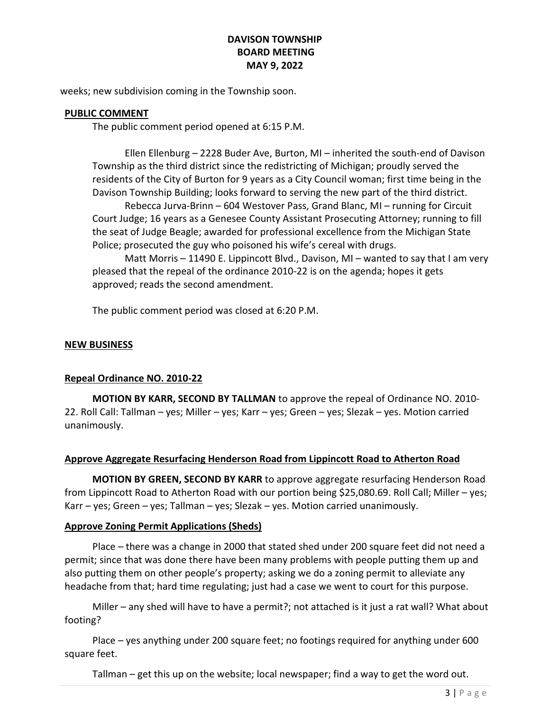weeks; new subdivision coming in the Township soon.

#### PUBLIC COMMENT

The public comment period opened at 6:15 P.M.

 Ellen Ellenburg – 2228 Buder Ave, Burton, MI – inherited the south-end of Davison Township as the third district since the redistricting of Michigan; proudly served the residents of the City of Burton for 9 years as a City Council woman; first time being in the Davison Township Building; looks forward to serving the new part of the third district.

 Rebecca Jurva-Brinn – 604 Westover Pass, Grand Blanc, MI – running for Circuit Court Judge; 16 years as a Genesee County Assistant Prosecuting Attorney; running to fill the seat of Judge Beagle; awarded for professional excellence from the Michigan State Police; prosecuted the guy who poisoned his wife's cereal with drugs.

 Matt Morris – 11490 E. Lippincott Blvd., Davison, MI – wanted to say that I am very pleased that the repeal of the ordinance 2010-22 is on the agenda; hopes it gets approved; reads the second amendment.

The public comment period was closed at 6:20 P.M.

#### NEW BUSINESS

## Repeal Ordinance NO. 2010-22

MOTION BY KARR, SECOND BY TALLMAN to approve the repeal of Ordinance NO. 2010- 22. Roll Call: Tallman – yes; Miller – yes; Karr – yes; Green – yes; Slezak – yes. Motion carried unanimously.

## Approve Aggregate Resurfacing Henderson Road from Lippincott Road to Atherton Road

MOTION BY GREEN, SECOND BY KARR to approve aggregate resurfacing Henderson Road from Lippincott Road to Atherton Road with our portion being \$25,080.69. Roll Call; Miller – yes; Karr – yes; Green – yes; Tallman – yes; Slezak – yes. Motion carried unanimously.

## Approve Zoning Permit Applications (Sheds)

 Place – there was a change in 2000 that stated shed under 200 square feet did not need a permit; since that was done there have been many problems with people putting them up and also putting them on other people's property; asking we do a zoning permit to alleviate any headache from that; hard time regulating; just had a case we went to court for this purpose.

 Miller – any shed will have to have a permit?; not attached is it just a rat wall? What about footing?

 Place – yes anything under 200 square feet; no footings required for anything under 600 square feet.

Tallman – get this up on the website; local newspaper; find a way to get the word out.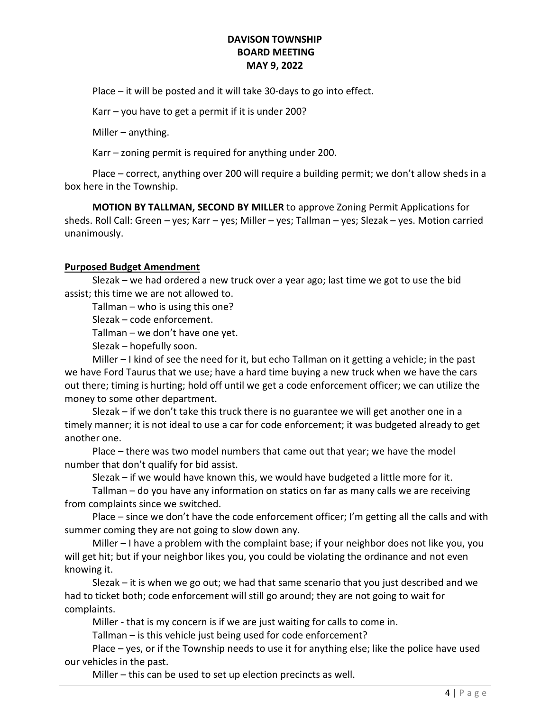Place – it will be posted and it will take 30-days to go into effect.

Karr – you have to get a permit if it is under 200?

Miller – anything.

Karr – zoning permit is required for anything under 200.

 Place – correct, anything over 200 will require a building permit; we don't allow sheds in a box here in the Township.

MOTION BY TALLMAN, SECOND BY MILLER to approve Zoning Permit Applications for sheds. Roll Call: Green – yes; Karr – yes; Miller – yes; Tallman – yes; Slezak – yes. Motion carried unanimously.

#### Purposed Budget Amendment

 Slezak – we had ordered a new truck over a year ago; last time we got to use the bid assist; this time we are not allowed to.

Tallman – who is using this one?

Slezak – code enforcement.

Tallman – we don't have one yet.

Slezak – hopefully soon.

 Miller – I kind of see the need for it, but echo Tallman on it getting a vehicle; in the past we have Ford Taurus that we use; have a hard time buying a new truck when we have the cars out there; timing is hurting; hold off until we get a code enforcement officer; we can utilize the money to some other department.

 Slezak – if we don't take this truck there is no guarantee we will get another one in a timely manner; it is not ideal to use a car for code enforcement; it was budgeted already to get another one.

 Place – there was two model numbers that came out that year; we have the model number that don't qualify for bid assist.

Slezak – if we would have known this, we would have budgeted a little more for it.

 Tallman – do you have any information on statics on far as many calls we are receiving from complaints since we switched.

 Place – since we don't have the code enforcement officer; I'm getting all the calls and with summer coming they are not going to slow down any.

 Miller – I have a problem with the complaint base; if your neighbor does not like you, you will get hit; but if your neighbor likes you, you could be violating the ordinance and not even knowing it.

 Slezak – it is when we go out; we had that same scenario that you just described and we had to ticket both; code enforcement will still go around; they are not going to wait for complaints.

Miller - that is my concern is if we are just waiting for calls to come in.

Tallman – is this vehicle just being used for code enforcement?

 Place – yes, or if the Township needs to use it for anything else; like the police have used our vehicles in the past.

Miller – this can be used to set up election precincts as well.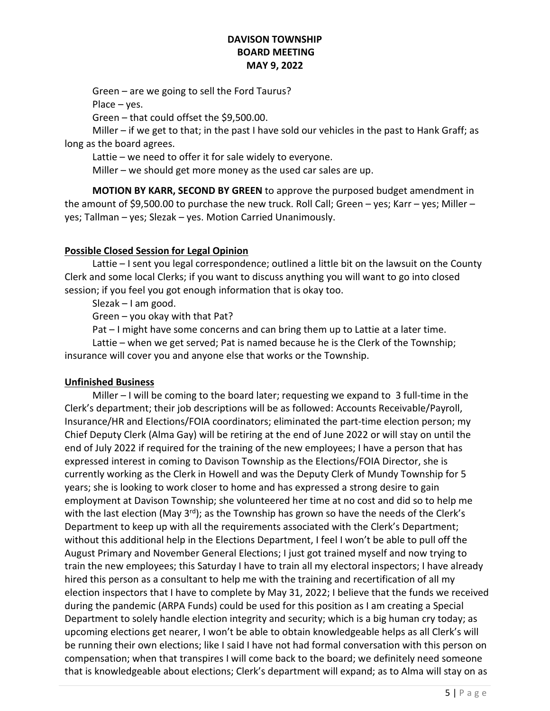Green – are we going to sell the Ford Taurus?

Place – yes.

Green – that could offset the \$9,500.00.

 Miller – if we get to that; in the past I have sold our vehicles in the past to Hank Graff; as long as the board agrees.

Lattie – we need to offer it for sale widely to everyone.

Miller – we should get more money as the used car sales are up.

 MOTION BY KARR, SECOND BY GREEN to approve the purposed budget amendment in the amount of \$9,500.00 to purchase the new truck. Roll Call; Green – yes; Karr – yes; Miller – yes; Tallman – yes; Slezak – yes. Motion Carried Unanimously.

## Possible Closed Session for Legal Opinion

 Lattie – I sent you legal correspondence; outlined a little bit on the lawsuit on the County Clerk and some local Clerks; if you want to discuss anything you will want to go into closed session; if you feel you got enough information that is okay too.

Slezak – I am good.

Green – you okay with that Pat?

Pat – I might have some concerns and can bring them up to Lattie at a later time.

 Lattie – when we get served; Pat is named because he is the Clerk of the Township; insurance will cover you and anyone else that works or the Township.

## Unfinished Business

 Miller – I will be coming to the board later; requesting we expand to 3 full-time in the Clerk's department; their job descriptions will be as followed: Accounts Receivable/Payroll, Insurance/HR and Elections/FOIA coordinators; eliminated the part-time election person; my Chief Deputy Clerk (Alma Gay) will be retiring at the end of June 2022 or will stay on until the end of July 2022 if required for the training of the new employees; I have a person that has expressed interest in coming to Davison Township as the Elections/FOIA Director, she is currently working as the Clerk in Howell and was the Deputy Clerk of Mundy Township for 5 years; she is looking to work closer to home and has expressed a strong desire to gain employment at Davison Township; she volunteered her time at no cost and did so to help me with the last election (May  $3^{rd}$ ); as the Township has grown so have the needs of the Clerk's Department to keep up with all the requirements associated with the Clerk's Department; without this additional help in the Elections Department, I feel I won't be able to pull off the August Primary and November General Elections; I just got trained myself and now trying to train the new employees; this Saturday I have to train all my electoral inspectors; I have already hired this person as a consultant to help me with the training and recertification of all my election inspectors that I have to complete by May 31, 2022; I believe that the funds we received during the pandemic (ARPA Funds) could be used for this position as I am creating a Special Department to solely handle election integrity and security; which is a big human cry today; as upcoming elections get nearer, I won't be able to obtain knowledgeable helps as all Clerk's will be running their own elections; like I said I have not had formal conversation with this person on compensation; when that transpires I will come back to the board; we definitely need someone that is knowledgeable about elections; Clerk's department will expand; as to Alma will stay on as